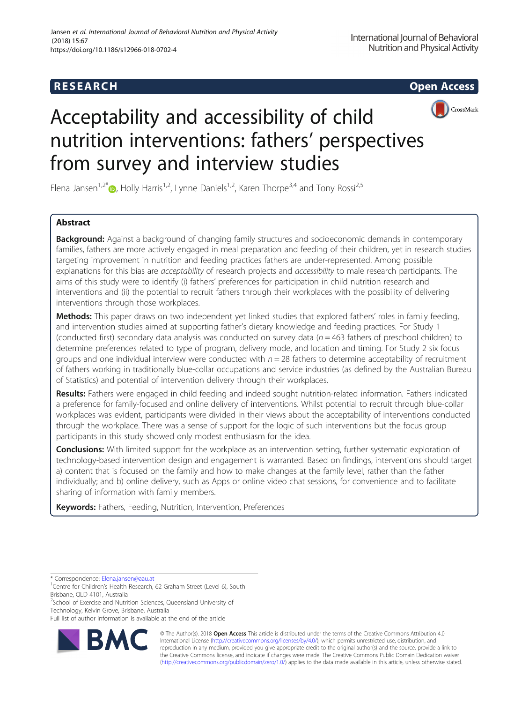

# Acceptability and accessibility of child nutrition interventions: fathers' perspectives from survey and interview studies

Elena Jansen<sup>1[,](http://orcid.org/0000-0002-6051-4148)2\*</sup>  $\bullet$ , Holly Harris<sup>1,2</sup>, Lynne Daniels<sup>1,2</sup>, Karen Thorpe<sup>3,4</sup> and Tony Rossi<sup>2,5</sup>

# Abstract

Background: Against a background of changing family structures and socioeconomic demands in contemporary families, fathers are more actively engaged in meal preparation and feeding of their children, yet in research studies targeting improvement in nutrition and feeding practices fathers are under-represented. Among possible explanations for this bias are *acceptability* of research projects and *accessibility* to male research participants. The aims of this study were to identify (i) fathers' preferences for participation in child nutrition research and interventions and (ii) the potential to recruit fathers through their workplaces with the possibility of delivering interventions through those workplaces.

Methods: This paper draws on two independent yet linked studies that explored fathers' roles in family feeding, and intervention studies aimed at supporting father's dietary knowledge and feeding practices. For Study 1 (conducted first) secondary data analysis was conducted on survey data ( $n = 463$  fathers of preschool children) to determine preferences related to type of program, delivery mode, and location and timing. For Study 2 six focus groups and one individual interview were conducted with  $n = 28$  fathers to determine acceptability of recruitment of fathers working in traditionally blue-collar occupations and service industries (as defined by the Australian Bureau of Statistics) and potential of intervention delivery through their workplaces.

Results: Fathers were engaged in child feeding and indeed sought nutrition-related information. Fathers indicated a preference for family-focused and online delivery of interventions. Whilst potential to recruit through blue-collar workplaces was evident, participants were divided in their views about the acceptability of interventions conducted through the workplace. There was a sense of support for the logic of such interventions but the focus group participants in this study showed only modest enthusiasm for the idea.

**Conclusions:** With limited support for the workplace as an intervention setting, further systematic exploration of technology-based intervention design and engagement is warranted. Based on findings, interventions should target a) content that is focused on the family and how to make changes at the family level, rather than the father individually; and b) online delivery, such as Apps or online video chat sessions, for convenience and to facilitate sharing of information with family members.

Keywords: Fathers, Feeding, Nutrition, Intervention, Preferences

<sup>2</sup>School of Exercise and Nutrition Sciences, Queensland University of Technology, Kelvin Grove, Brisbane, Australia

Full list of author information is available at the end of the article



© The Author(s). 2018 Open Access This article is distributed under the terms of the Creative Commons Attribution 4.0 International License [\(http://creativecommons.org/licenses/by/4.0/](http://creativecommons.org/licenses/by/4.0/)), which permits unrestricted use, distribution, and reproduction in any medium, provided you give appropriate credit to the original author(s) and the source, provide a link to the Creative Commons license, and indicate if changes were made. The Creative Commons Public Domain Dedication waiver [\(http://creativecommons.org/publicdomain/zero/1.0/](http://creativecommons.org/publicdomain/zero/1.0/)) applies to the data made available in this article, unless otherwise stated.

<sup>\*</sup> Correspondence: [Elena.jansen@aau.at](mailto:Elena.jansen@aau.at) <sup>1</sup>

<sup>&</sup>lt;sup>1</sup>Centre for Children's Health Research, 62 Graham Street (Level 6), South Brisbane, QLD 4101, Australia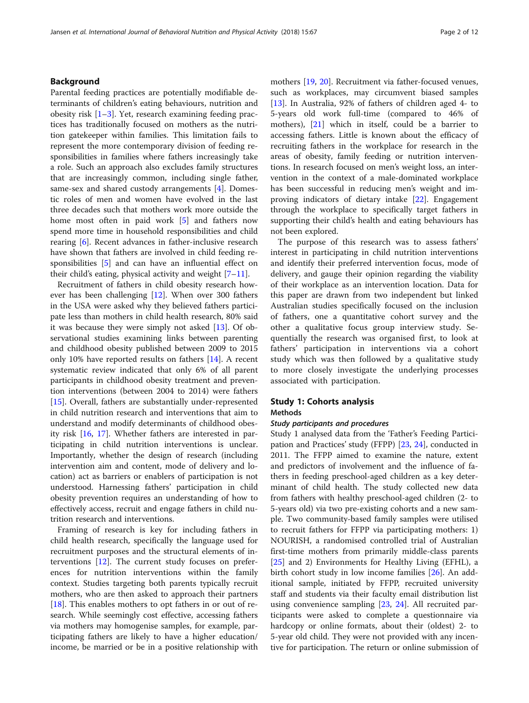# Background

Parental feeding practices are potentially modifiable determinants of children's eating behaviours, nutrition and obesity risk  $[1-3]$  $[1-3]$  $[1-3]$  $[1-3]$ . Yet, research examining feeding practices has traditionally focused on mothers as the nutrition gatekeeper within families. This limitation fails to represent the more contemporary division of feeding responsibilities in families where fathers increasingly take a role. Such an approach also excludes family structures that are increasingly common, including single father, same-sex and shared custody arrangements [\[4](#page-10-0)]. Domestic roles of men and women have evolved in the last three decades such that mothers work more outside the home most often in paid work [[5\]](#page-10-0) and fathers now spend more time in household responsibilities and child rearing [\[6](#page-10-0)]. Recent advances in father-inclusive research have shown that fathers are involved in child feeding responsibilities [\[5](#page-10-0)] and can have an influential effect on their child's eating, physical activity and weight  $[7-11]$  $[7-11]$  $[7-11]$  $[7-11]$  $[7-11]$ .

Recruitment of fathers in child obesity research however has been challenging [\[12](#page-10-0)]. When over 300 fathers in the USA were asked why they believed fathers participate less than mothers in child health research, 80% said it was because they were simply not asked [\[13](#page-10-0)]. Of observational studies examining links between parenting and childhood obesity published between 2009 to 2015 only 10% have reported results on fathers [\[14\]](#page-10-0). A recent systematic review indicated that only 6% of all parent participants in childhood obesity treatment and prevention interventions (between 2004 to 2014) were fathers [[15\]](#page-10-0). Overall, fathers are substantially under-represented in child nutrition research and interventions that aim to understand and modify determinants of childhood obesity risk [\[16](#page-10-0), [17](#page-10-0)]. Whether fathers are interested in participating in child nutrition interventions is unclear. Importantly, whether the design of research (including intervention aim and content, mode of delivery and location) act as barriers or enablers of participation is not understood. Harnessing fathers' participation in child obesity prevention requires an understanding of how to effectively access, recruit and engage fathers in child nutrition research and interventions.

Framing of research is key for including fathers in child health research, specifically the language used for recruitment purposes and the structural elements of interventions  $[12]$  $[12]$  $[12]$ . The current study focuses on preferences for nutrition interventions within the family context. Studies targeting both parents typically recruit mothers, who are then asked to approach their partners [[18\]](#page-10-0). This enables mothers to opt fathers in or out of research. While seemingly cost effective, accessing fathers via mothers may homogenise samples, for example, participating fathers are likely to have a higher education/ income, be married or be in a positive relationship with mothers [[19,](#page-10-0) [20\]](#page-10-0). Recruitment via father-focused venues, such as workplaces, may circumvent biased samples [[13\]](#page-10-0). In Australia, 92% of fathers of children aged 4- to 5-years old work full-time (compared to 46% of mothers), [[21](#page-10-0)] which in itself, could be a barrier to accessing fathers. Little is known about the efficacy of recruiting fathers in the workplace for research in the areas of obesity, family feeding or nutrition interventions. In research focused on men's weight loss, an intervention in the context of a male-dominated workplace has been successful in reducing men's weight and improving indicators of dietary intake [[22](#page-10-0)]. Engagement through the workplace to specifically target fathers in supporting their child's health and eating behaviours has not been explored.

The purpose of this research was to assess fathers' interest in participating in child nutrition interventions and identify their preferred intervention focus, mode of delivery, and gauge their opinion regarding the viability of their workplace as an intervention location. Data for this paper are drawn from two independent but linked Australian studies specifically focused on the inclusion of fathers, one a quantitative cohort survey and the other a qualitative focus group interview study. Sequentially the research was organised first, to look at fathers' participation in interventions via a cohort study which was then followed by a qualitative study to more closely investigate the underlying processes associated with participation.

# Study 1: Cohorts analysis

## Methods

#### Study participants and procedures

Study 1 analysed data from the 'Father's Feeding Participation and Practices' study (FFPP) [[23](#page-10-0), [24](#page-10-0)], conducted in 2011. The FFPP aimed to examine the nature, extent and predictors of involvement and the influence of fathers in feeding preschool-aged children as a key determinant of child health. The study collected new data from fathers with healthy preschool-aged children (2- to 5-years old) via two pre-existing cohorts and a new sample. Two community-based family samples were utilised to recruit fathers for FFPP via participating mothers: 1) NOURISH, a randomised controlled trial of Australian first-time mothers from primarily middle-class parents [[25\]](#page-10-0) and 2) Environments for Healthy Living (EFHL), a birth cohort study in low income families [\[26](#page-10-0)]. An additional sample, initiated by FFPP, recruited university staff and students via their faculty email distribution list using convenience sampling [\[23](#page-10-0), [24](#page-10-0)]. All recruited participants were asked to complete a questionnaire via hardcopy or online formats, about their (oldest) 2- to 5-year old child. They were not provided with any incentive for participation. The return or online submission of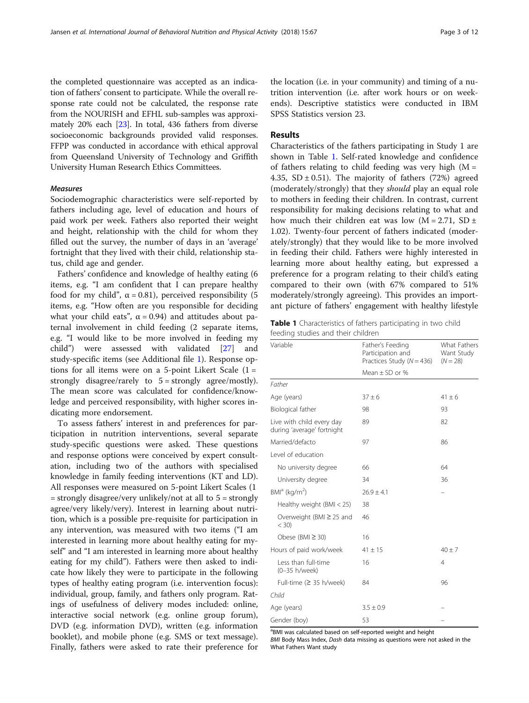<span id="page-2-0"></span>the completed questionnaire was accepted as an indication of fathers' consent to participate. While the overall response rate could not be calculated, the response rate from the NOURISH and EFHL sub-samples was approximately 20% each [\[23\]](#page-10-0). In total, 436 fathers from diverse socioeconomic backgrounds provided valid responses. FFPP was conducted in accordance with ethical approval from Queensland University of Technology and Griffith University Human Research Ethics Committees.

## Measures

Sociodemographic characteristics were self-reported by fathers including age, level of education and hours of paid work per week. Fathers also reported their weight and height, relationship with the child for whom they filled out the survey, the number of days in an 'average' fortnight that they lived with their child, relationship status, child age and gender.

Fathers' confidence and knowledge of healthy eating (6 items, e.g. "I am confident that I can prepare healthy food for my child",  $\alpha$  = 0.81), perceived responsibility (5 items, e.g. "How often are you responsible for deciding what your child eats",  $\alpha = 0.94$ ) and attitudes about paternal involvement in child feeding (2 separate items, e.g. "I would like to be more involved in feeding my child") were assessed with validated [\[27\]](#page-10-0) and study-specific items (see Additional file [1\)](#page-9-0). Response options for all items were on a 5-point Likert Scale  $(1 =$ strongly disagree/rarely to  $5 =$  strongly agree/mostly). The mean score was calculated for confidence/knowledge and perceived responsibility, with higher scores indicating more endorsement.

To assess fathers' interest in and preferences for participation in nutrition interventions, several separate study-specific questions were asked. These questions and response options were conceived by expert consultation, including two of the authors with specialised knowledge in family feeding interventions (KT and LD). All responses were measured on 5-point Likert Scales (1  $=$  strongly disagree/very unlikely/not at all to  $5 =$  strongly agree/very likely/very). Interest in learning about nutrition, which is a possible pre-requisite for participation in any intervention, was measured with two items ("I am interested in learning more about healthy eating for myself" and "I am interested in learning more about healthy eating for my child"). Fathers were then asked to indicate how likely they were to participate in the following types of healthy eating program (i.e. intervention focus): individual, group, family, and fathers only program. Ratings of usefulness of delivery modes included: online, interactive social network (e.g. online group forum), DVD (e.g. information DVD), written (e.g. information booklet), and mobile phone (e.g. SMS or text message). Finally, fathers were asked to rate their preference for

the location (i.e. in your community) and timing of a nutrition intervention (i.e. after work hours or on weekends). Descriptive statistics were conducted in IBM SPSS Statistics version 23.

# Results

Characteristics of the fathers participating in Study 1 are shown in Table 1. Self-rated knowledge and confidence of fathers relating to child feeding was very high  $(M =$ 4.35, SD  $\pm$  0.51). The majority of fathers (72%) agreed (moderately/strongly) that they should play an equal role to mothers in feeding their children. In contrast, current responsibility for making decisions relating to what and how much their children eat was low  $(M = 2.71, SD \pm 1)$ 1.02). Twenty-four percent of fathers indicated (moderately/strongly) that they would like to be more involved in feeding their child. Fathers were highly interested in learning more about healthy eating, but expressed a preference for a program relating to their child's eating compared to their own (with 67% compared to 51% moderately/strongly agreeing). This provides an important picture of fathers' engagement with healthy lifestyle

Table 1 Characteristics of fathers participating in two child feeding studies and their children

| Variable                                                | Father's Feeding<br>Participation and<br>Practices Study ( $N = 436$ ) | What Fathers<br>Want Study<br>$(N = 28)$ |
|---------------------------------------------------------|------------------------------------------------------------------------|------------------------------------------|
|                                                         | Mean $\pm$ SD or %                                                     |                                          |
| Father                                                  |                                                                        |                                          |
| Age (years)                                             | $37 + 6$                                                               | $41 \pm 6$                               |
| Biological father                                       | 98                                                                     | 93                                       |
| Live with child every day<br>during 'average' fortnight | 89                                                                     | 82                                       |
| Married/defacto                                         | 97                                                                     | 86                                       |
| Level of education                                      |                                                                        |                                          |
| No university degree                                    | 66                                                                     | 64                                       |
| University degree                                       | 34                                                                     | 36                                       |
| BMl <sup>a</sup> (kg/m <sup>2</sup> )                   | $26.9 \pm 4.1$                                                         |                                          |
| Healthy weight $(BMI < 25)$                             | 38                                                                     |                                          |
| Overweight (BMI $\geq$ 25 and<br>$< 30$ )               | 46                                                                     |                                          |
| Obese (BMI $\geq$ 30)                                   | 16                                                                     |                                          |
| Hours of paid work/week                                 | $41 \pm 15$                                                            | $40 \pm 7$                               |
| Less than full-time<br>(0-35 h/week)                    | 16                                                                     | 4                                        |
| Full-time ( $\geq$ 35 h/week)                           | 84                                                                     | 96                                       |
| Child                                                   |                                                                        |                                          |
| Age (years)                                             | $3.5 \pm 0.9$                                                          |                                          |
| Gender (boy)                                            | 53                                                                     |                                          |

<sup>a</sup>BMI was calculated based on self-reported weight and height

BMI Body Mass Index, Dash data missing as questions were not asked in the What Fathers Want study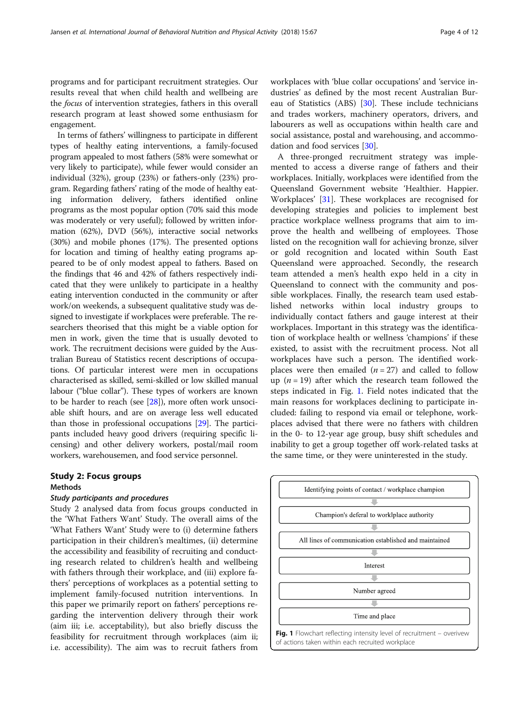programs and for participant recruitment strategies. Our results reveal that when child health and wellbeing are the focus of intervention strategies, fathers in this overall research program at least showed some enthusiasm for engagement.

In terms of fathers' willingness to participate in different types of healthy eating interventions, a family-focused program appealed to most fathers (58% were somewhat or very likely to participate), while fewer would consider an individual (32%), group (23%) or fathers-only (23%) program. Regarding fathers' rating of the mode of healthy eating information delivery, fathers identified online programs as the most popular option (70% said this mode was moderately or very useful); followed by written information (62%), DVD (56%), interactive social networks (30%) and mobile phones (17%). The presented options for location and timing of healthy eating programs appeared to be of only modest appeal to fathers. Based on the findings that 46 and 42% of fathers respectively indicated that they were unlikely to participate in a healthy eating intervention conducted in the community or after work/on weekends, a subsequent qualitative study was designed to investigate if workplaces were preferable. The researchers theorised that this might be a viable option for men in work, given the time that is usually devoted to work. The recruitment decisions were guided by the Australian Bureau of Statistics recent descriptions of occupations. Of particular interest were men in occupations characterised as skilled, semi-skilled or low skilled manual labour ("blue collar"). These types of workers are known to be harder to reach (see [\[28\]](#page-10-0)), more often work unsociable shift hours, and are on average less well educated than those in professional occupations [[29](#page-10-0)]. The participants included heavy good drivers (requiring specific licensing) and other delivery workers, postal/mail room workers, warehousemen, and food service personnel.

# Study 2: Focus groups Methods

## Study participants and procedures

Study 2 analysed data from focus groups conducted in the 'What Fathers Want' Study. The overall aims of the 'What Fathers Want' Study were to (i) determine fathers participation in their children's mealtimes, (ii) determine the accessibility and feasibility of recruiting and conducting research related to children's health and wellbeing with fathers through their workplace, and (iii) explore fathers' perceptions of workplaces as a potential setting to implement family-focused nutrition interventions. In this paper we primarily report on fathers' perceptions regarding the intervention delivery through their work (aim iii; i.e. acceptability), but also briefly discuss the feasibility for recruitment through workplaces (aim ii; i.e. accessibility). The aim was to recruit fathers from workplaces with 'blue collar occupations' and 'service industries' as defined by the most recent Australian Bureau of Statistics (ABS) [\[30\]](#page-10-0). These include technicians and trades workers, machinery operators, drivers, and labourers as well as occupations within health care and social assistance, postal and warehousing, and accommodation and food services [[30](#page-10-0)].

A three-pronged recruitment strategy was implemented to access a diverse range of fathers and their workplaces. Initially, workplaces were identified from the Queensland Government website 'Healthier. Happier. Workplaces' [[31\]](#page-10-0). These workplaces are recognised for developing strategies and policies to implement best practice workplace wellness programs that aim to improve the health and wellbeing of employees. Those listed on the recognition wall for achieving bronze, silver or gold recognition and located within South East Queensland were approached. Secondly, the research team attended a men's health expo held in a city in Queensland to connect with the community and possible workplaces. Finally, the research team used established networks within local industry groups to individually contact fathers and gauge interest at their workplaces. Important in this strategy was the identification of workplace health or wellness 'champions' if these existed, to assist with the recruitment process. Not all workplaces have such a person. The identified workplaces were then emailed  $(n = 27)$  and called to follow up  $(n = 19)$  after which the research team followed the steps indicated in Fig. 1. Field notes indicated that the main reasons for workplaces declining to participate included: failing to respond via email or telephone, workplaces advised that there were no fathers with children in the 0- to 12-year age group, busy shift schedules and inability to get a group together off work-related tasks at the same time, or they were uninterested in the study.

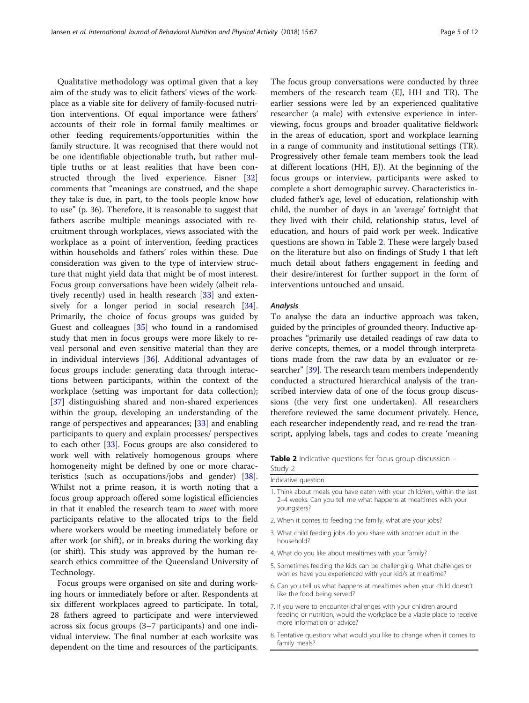Qualitative methodology was optimal given that a key aim of the study was to elicit fathers' views of the workplace as a viable site for delivery of family-focused nutrition interventions. Of equal importance were fathers' accounts of their role in formal family mealtimes or other feeding requirements/opportunities within the family structure. It was recognised that there would not be one identifiable objectionable truth, but rather multiple truths or at least realities that have been constructed through the lived experience. Eisner [[32](#page-10-0)] comments that "meanings are construed, and the shape they take is due, in part, to the tools people know how to use" (p. 36). Therefore, it is reasonable to suggest that fathers ascribe multiple meanings associated with recruitment through workplaces, views associated with the workplace as a point of intervention, feeding practices within households and fathers' roles within these. Due consideration was given to the type of interview structure that might yield data that might be of most interest. Focus group conversations have been widely (albeit relatively recently) used in health research [\[33](#page-10-0)] and exten-sively for a longer period in social research [\[34](#page-10-0)]. Primarily, the choice of focus groups was guided by Guest and colleagues [[35\]](#page-11-0) who found in a randomised study that men in focus groups were more likely to reveal personal and even sensitive material than they are in individual interviews [[36\]](#page-11-0). Additional advantages of focus groups include: generating data through interactions between participants, within the context of the workplace (setting was important for data collection); [[37\]](#page-11-0) distinguishing shared and non-shared experiences within the group, developing an understanding of the range of perspectives and appearances; [[33\]](#page-10-0) and enabling participants to query and explain processes/ perspectives to each other [[33\]](#page-10-0). Focus groups are also considered to work well with relatively homogenous groups where homogeneity might be defined by one or more characteristics (such as occupations/jobs and gender) [\[38](#page-11-0)]. Whilst not a prime reason, it is worth noting that a focus group approach offered some logistical efficiencies in that it enabled the research team to meet with more participants relative to the allocated trips to the field where workers would be meeting immediately before or after work (or shift), or in breaks during the working day (or shift). This study was approved by the human research ethics committee of the Queensland University of Technology.

Focus groups were organised on site and during working hours or immediately before or after. Respondents at six different workplaces agreed to participate. In total, 28 fathers agreed to participate and were interviewed across six focus groups (3–7 participants) and one individual interview. The final number at each worksite was dependent on the time and resources of the participants. The focus group conversations were conducted by three members of the research team (EJ, HH and TR). The earlier sessions were led by an experienced qualitative researcher (a male) with extensive experience in interviewing, focus groups and broader qualitative fieldwork in the areas of education, sport and workplace learning in a range of community and institutional settings (TR). Progressively other female team members took the lead at different locations (HH, EJ). At the beginning of the focus groups or interview, participants were asked to complete a short demographic survey. Characteristics included father's age, level of education, relationship with child, the number of days in an 'average' fortnight that they lived with their child, relationship status, level of education, and hours of paid work per week. Indicative questions are shown in Table 2. These were largely based on the literature but also on findings of Study 1 that left much detail about fathers engagement in feeding and their desire/interest for further support in the form of interventions untouched and unsaid.

## Analysis

Study 2

To analyse the data an inductive approach was taken, guided by the principles of grounded theory. Inductive approaches "primarily use detailed readings of raw data to derive concepts, themes, or a model through interpretations made from the raw data by an evaluator or researcher" [\[39\]](#page-11-0). The research team members independently conducted a structured hierarchical analysis of the transcribed interview data of one of the focus group discussions (the very first one undertaken). All researchers therefore reviewed the same document privately. Hence, each researcher independently read, and re-read the transcript, applying labels, tags and codes to create 'meaning

Table 2 Indicative questions for focus group discussion -

| Indicative question                                                      |
|--------------------------------------------------------------------------|
| 1. Think about meals you have eaten with your child/ren, within the last |
| 2-4 weeks. Can you tell me what happens at mealtimes with your           |
| youngsters?                                                              |

- 2. When it comes to feeding the family, what are your jobs?
- 3. What child feeding jobs do you share with another adult in the household?
- 4. What do you like about mealtimes with your family?
- 5. Sometimes feeding the kids can be challenging. What challenges or worries have you experienced with your kid/s at mealtime?
- 6. Can you tell us what happens at mealtimes when your child doesn't like the food being served?
- 7. If you were to encounter challenges with your children around feeding or nutrition, would the workplace be a viable place to receive more information or advice?
- 8. Tentative question: what would you like to change when it comes to family meals?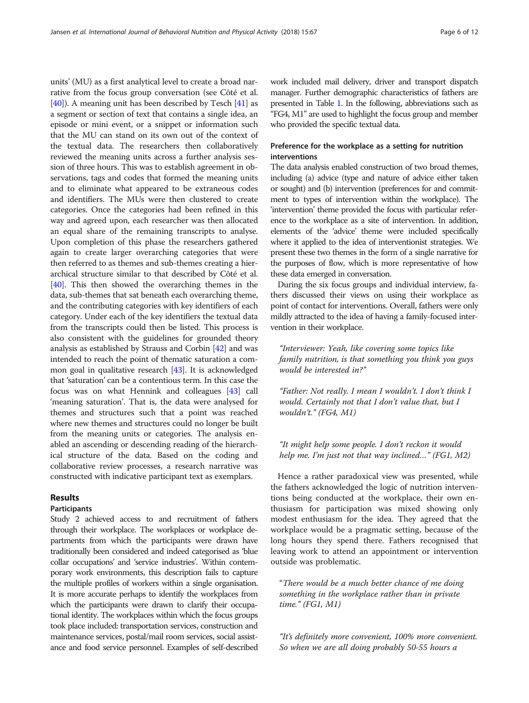units' (MU) as a first analytical level to create a broad narrative from the focus group conversation (see Côté et al.  $[40]$  $[40]$  $[40]$ ). A meaning unit has been described by Tesch  $[41]$  $[41]$  $[41]$  as a segment or section of text that contains a single idea, an episode or mini event, or a snippet or information such that the MU can stand on its own out of the context of the textual data. The researchers then collaboratively reviewed the meaning units across a further analysis session of three hours. This was to establish agreement in observations, tags and codes that formed the meaning units and to eliminate what appeared to be extraneous codes and identifiers. The MUs were then clustered to create categories. Once the categories had been refined in this way and agreed upon, each researcher was then allocated an equal share of the remaining transcripts to analyse. Upon completion of this phase the researchers gathered again to create larger overarching categories that were then referred to as themes and sub-themes creating a hierarchical structure similar to that described by Côté et al. [[40](#page-11-0)]. This then showed the overarching themes in the data, sub-themes that sat beneath each overarching theme, and the contributing categories with key identifiers of each category. Under each of the key identifiers the textual data from the transcripts could then be listed. This process is also consistent with the guidelines for grounded theory analysis as established by Strauss and Corbin [\[42](#page-11-0)] and was intended to reach the point of thematic saturation a common goal in qualitative research [[43](#page-11-0)]. It is acknowledged that 'saturation' can be a contentious term. In this case the focus was on what Hennink and colleagues [\[43\]](#page-11-0) call 'meaning saturation'. That is, the data were analysed for themes and structures such that a point was reached where new themes and structures could no longer be built from the meaning units or categories. The analysis enabled an ascending or descending reading of the hierarchical structure of the data. Based on the coding and collaborative review processes, a research narrative was constructed with indicative participant text as exemplars.

## Results

#### Participants

Study 2 achieved access to and recruitment of fathers through their workplace. The workplaces or workplace departments from which the participants were drawn have traditionally been considered and indeed categorised as 'blue collar occupations' and 'service industries'. Within contemporary work environments, this description fails to capture the multiple profiles of workers within a single organisation. It is more accurate perhaps to identify the workplaces from which the participants were drawn to clarify their occupational identity. The workplaces within which the focus groups took place included: transportation services, construction and maintenance services, postal/mail room services, social assistance and food service personnel. Examples of self-described work included mail delivery, driver and transport dispatch manager. Further demographic characteristics of fathers are presented in Table [1](#page-2-0). In the following, abbreviations such as "FG4, M1" are used to highlight the focus group and member who provided the specific textual data.

# Preference for the workplace as a setting for nutrition interventions

The data analysis enabled construction of two broad themes, including (a) advice (type and nature of advice either taken or sought) and (b) intervention (preferences for and commitment to types of intervention within the workplace). The 'intervention' theme provided the focus with particular reference to the workplace as a site of intervention. In addition, elements of the 'advice' theme were included specifically where it applied to the idea of interventionist strategies. We present these two themes in the form of a single narrative for the purposes of flow, which is more representative of how these data emerged in conversation.

During the six focus groups and individual interview, fathers discussed their views on using their workplace as point of contact for interventions. Overall, fathers were only mildly attracted to the idea of having a family-focused intervention in their workplace.

"Interviewer: Yeah, like covering some topics like family nutrition, is that something you think you guys would be interested in?"

"Father: Not really. I mean I wouldn't. I don't think I would. Certainly not that I don't value that, but I wouldn't." (FG4, M1)

"It might help some people. I don't reckon it would help me. I'm just not that way inclined..." (FG1, M2)

Hence a rather paradoxical view was presented, while the fathers acknowledged the logic of nutrition interventions being conducted at the workplace, their own enthusiasm for participation was mixed showing only modest enthusiasm for the idea. They agreed that the workplace would be a pragmatic setting, because of the long hours they spend there. Fathers recognised that leaving work to attend an appointment or intervention outside was problematic.

"There would be a much better chance of me doing something in the workplace rather than in private time." (FG1, M1)

"It's definitely more convenient, 100% more convenient. So when we are all doing probably 50-55 hours a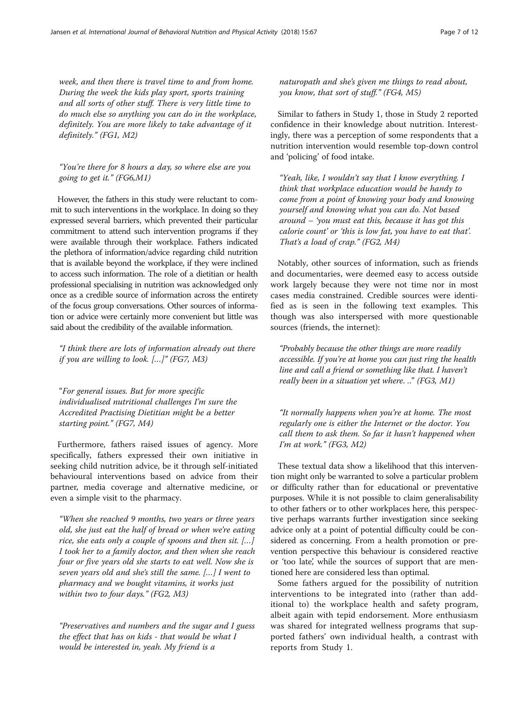week, and then there is travel time to and from home. During the week the kids play sport, sports training and all sorts of other stuff. There is very little time to do much else so anything you can do in the workplace, definitely. You are more likely to take advantage of it definitely." (FG1, M2)

"You're there for 8 hours a day, so where else are you going to get it." (FG6,M1)

However, the fathers in this study were reluctant to commit to such interventions in the workplace. In doing so they expressed several barriers, which prevented their particular commitment to attend such intervention programs if they were available through their workplace. Fathers indicated the plethora of information/advice regarding child nutrition that is available beyond the workplace, if they were inclined to access such information. The role of a dietitian or health professional specialising in nutrition was acknowledged only once as a credible source of information across the entirety of the focus group conversations. Other sources of information or advice were certainly more convenient but little was said about the credibility of the available information.

"I think there are lots of information already out there if you are willing to look. […]" (FG7, M3)

"For general issues. But for more specific individualised nutritional challenges I'm sure the Accredited Practising Dietitian might be a better starting point." (FG7, M4)

Furthermore, fathers raised issues of agency. More specifically, fathers expressed their own initiative in seeking child nutrition advice, be it through self-initiated behavioural interventions based on advice from their partner, media coverage and alternative medicine, or even a simple visit to the pharmacy.

"When she reached 9 months, two years or three years old, she just eat the half of bread or when we're eating rice, she eats only a couple of spoons and then sit. […] I took her to a family doctor, and then when she reach four or five years old she starts to eat well. Now she is seven years old and she's still the same. […] I went to pharmacy and we bought vitamins, it works just within two to four days." (FG2, M3)

"Preservatives and numbers and the sugar and I guess the effect that has on kids - that would be what I would be interested in, yeah. My friend is a

naturopath and she's given me things to read about, you know, that sort of stuff." (FG4, M5)

Similar to fathers in Study 1, those in Study 2 reported confidence in their knowledge about nutrition. Interestingly, there was a perception of some respondents that a nutrition intervention would resemble top-down control and 'policing' of food intake.

"Yeah, like, I wouldn't say that I know everything. I think that workplace education would be handy to come from a point of knowing your body and knowing yourself and knowing what you can do. Not based around – 'you must eat this, because it has got this calorie count' or 'this is low fat, you have to eat that'. That's a load of crap." (FG2, M4)

Notably, other sources of information, such as friends and documentaries, were deemed easy to access outside work largely because they were not time nor in most cases media constrained. Credible sources were identified as is seen in the following text examples. This though was also interspersed with more questionable sources (friends, the internet):

"Probably because the other things are more readily accessible. If you're at home you can just ring the health line and call a friend or something like that. I haven't really been in a situation yet where. .." (FG3, M1)

"It normally happens when you're at home. The most regularly one is either the Internet or the doctor. You call them to ask them. So far it hasn't happened when I'm at work." (FG3, M2)

These textual data show a likelihood that this intervention might only be warranted to solve a particular problem or difficulty rather than for educational or preventative purposes. While it is not possible to claim generalisability to other fathers or to other workplaces here, this perspective perhaps warrants further investigation since seeking advice only at a point of potential difficulty could be considered as concerning. From a health promotion or prevention perspective this behaviour is considered reactive or 'too late', while the sources of support that are mentioned here are considered less than optimal.

Some fathers argued for the possibility of nutrition interventions to be integrated into (rather than additional to) the workplace health and safety program, albeit again with tepid endorsement. More enthusiasm was shared for integrated wellness programs that supported fathers' own individual health, a contrast with reports from Study 1.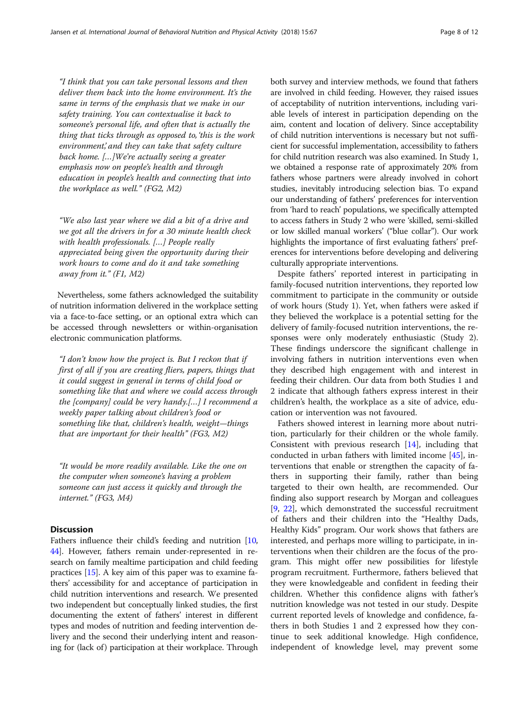"I think that you can take personal lessons and then deliver them back into the home environment. It's the same in terms of the emphasis that we make in our safety training. You can contextualise it back to someone's personal life, and often that is actually the thing that ticks through as opposed to, 'this is the work environment,' and they can take that safety culture back home. […]We're actually seeing a greater emphasis now on people's health and through education in people's health and connecting that into the workplace as well." (FG2, M2)

"We also last year where we did a bit of a drive and we got all the drivers in for a 30 minute health check with health professionals. […] People really appreciated being given the opportunity during their work hours to come and do it and take something away from it."  $(F1, M2)$ 

Nevertheless, some fathers acknowledged the suitability of nutrition information delivered in the workplace setting via a face-to-face setting, or an optional extra which can be accessed through newsletters or within-organisation electronic communication platforms.

"I don't know how the project is. But I reckon that if first of all if you are creating fliers, papers, things that it could suggest in general in terms of child food or something like that and where we could access through the  $[company]$  could be very handy.[...] I recommend a weekly paper talking about children's food or something like that, children's health, weight—things that are important for their health" (FG3, M2)

"It would be more readily available. Like the one on the computer when someone's having a problem someone can just access it quickly and through the internet." (FG3, M4)

# **Discussion**

Fathers influence their child's feeding and nutrition [[10](#page-10-0), [44](#page-11-0)]. However, fathers remain under-represented in research on family mealtime participation and child feeding practices [\[15\]](#page-10-0). A key aim of this paper was to examine fathers' accessibility for and acceptance of participation in child nutrition interventions and research. We presented two independent but conceptually linked studies, the first documenting the extent of fathers' interest in different types and modes of nutrition and feeding intervention delivery and the second their underlying intent and reasoning for (lack of) participation at their workplace. Through both survey and interview methods, we found that fathers are involved in child feeding. However, they raised issues of acceptability of nutrition interventions, including variable levels of interest in participation depending on the aim, content and location of delivery. Since acceptability of child nutrition interventions is necessary but not sufficient for successful implementation, accessibility to fathers for child nutrition research was also examined. In Study 1, we obtained a response rate of approximately 20% from fathers whose partners were already involved in cohort studies, inevitably introducing selection bias. To expand our understanding of fathers' preferences for intervention from 'hard to reach' populations, we specifically attempted to access fathers in Study 2 who were 'skilled, semi-skilled or low skilled manual workers' ("blue collar"). Our work highlights the importance of first evaluating fathers' preferences for interventions before developing and delivering culturally appropriate interventions.

Despite fathers' reported interest in participating in family-focused nutrition interventions, they reported low commitment to participate in the community or outside of work hours (Study 1). Yet, when fathers were asked if they believed the workplace is a potential setting for the delivery of family-focused nutrition interventions, the responses were only moderately enthusiastic (Study 2). These findings underscore the significant challenge in involving fathers in nutrition interventions even when they described high engagement with and interest in feeding their children. Our data from both Studies 1 and 2 indicate that although fathers express interest in their children's health, the workplace as a site of advice, education or intervention was not favoured.

Fathers showed interest in learning more about nutrition, particularly for their children or the whole family. Consistent with previous research [[14\]](#page-10-0), including that conducted in urban fathers with limited income [[45\]](#page-11-0), interventions that enable or strengthen the capacity of fathers in supporting their family, rather than being targeted to their own health, are recommended. Our finding also support research by Morgan and colleagues [[9,](#page-10-0) [22](#page-10-0)], which demonstrated the successful recruitment of fathers and their children into the "Healthy Dads, Healthy Kids" program. Our work shows that fathers are interested, and perhaps more willing to participate, in interventions when their children are the focus of the program. This might offer new possibilities for lifestyle program recruitment. Furthermore, fathers believed that they were knowledgeable and confident in feeding their children. Whether this confidence aligns with father's nutrition knowledge was not tested in our study. Despite current reported levels of knowledge and confidence, fathers in both Studies 1 and 2 expressed how they continue to seek additional knowledge. High confidence, independent of knowledge level, may prevent some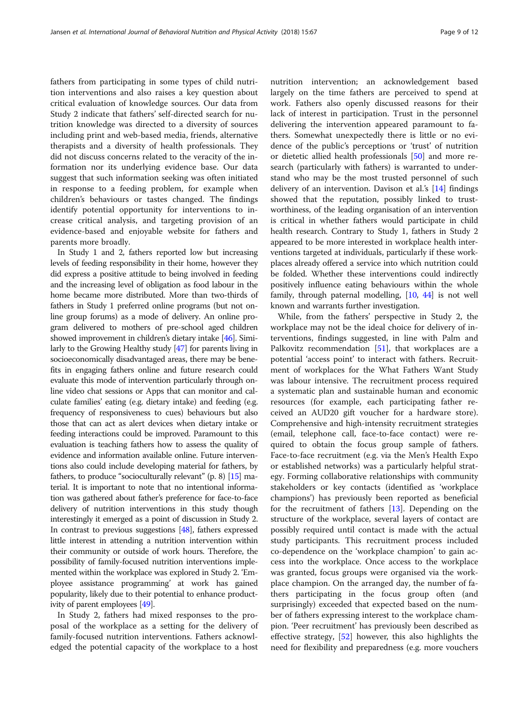fathers from participating in some types of child nutrition interventions and also raises a key question about critical evaluation of knowledge sources. Our data from Study 2 indicate that fathers' self-directed search for nutrition knowledge was directed to a diversity of sources including print and web-based media, friends, alternative therapists and a diversity of health professionals. They did not discuss concerns related to the veracity of the information nor its underlying evidence base. Our data suggest that such information seeking was often initiated in response to a feeding problem, for example when children's behaviours or tastes changed. The findings identify potential opportunity for interventions to increase critical analysis, and targeting provision of an evidence-based and enjoyable website for fathers and parents more broadly.

In Study 1 and 2, fathers reported low but increasing levels of feeding responsibility in their home, however they did express a positive attitude to being involved in feeding and the increasing level of obligation as food labour in the home became more distributed. More than two-thirds of fathers in Study 1 preferred online programs (but not online group forums) as a mode of delivery. An online program delivered to mothers of pre-school aged children showed improvement in children's dietary intake [\[46\]](#page-11-0). Similarly to the Growing Healthy study [\[47\]](#page-11-0) for parents living in socioeconomically disadvantaged areas, there may be benefits in engaging fathers online and future research could evaluate this mode of intervention particularly through online video chat sessions or Apps that can monitor and calculate families' eating (e.g. dietary intake) and feeding (e.g. frequency of responsiveness to cues) behaviours but also those that can act as alert devices when dietary intake or feeding interactions could be improved. Paramount to this evaluation is teaching fathers how to assess the quality of evidence and information available online. Future interventions also could include developing material for fathers, by fathers, to produce "socioculturally relevant" (p. 8) [[15\]](#page-10-0) material. It is important to note that no intentional information was gathered about father's preference for face-to-face delivery of nutrition interventions in this study though interestingly it emerged as a point of discussion in Study 2. In contrast to previous suggestions [\[48\]](#page-11-0), fathers expressed little interest in attending a nutrition intervention within their community or outside of work hours. Therefore, the possibility of family-focused nutrition interventions implemented within the workplace was explored in Study 2. 'Employee assistance programming' at work has gained popularity, likely due to their potential to enhance productivity of parent employees [\[49](#page-11-0)].

In Study 2, fathers had mixed responses to the proposal of the workplace as a setting for the delivery of family-focused nutrition interventions. Fathers acknowledged the potential capacity of the workplace to a host

nutrition intervention; an acknowledgement based largely on the time fathers are perceived to spend at work. Fathers also openly discussed reasons for their lack of interest in participation. Trust in the personnel delivering the intervention appeared paramount to fathers. Somewhat unexpectedly there is little or no evidence of the public's perceptions or 'trust' of nutrition or dietetic allied health professionals [[50\]](#page-11-0) and more research (particularly with fathers) is warranted to understand who may be the most trusted personnel of such delivery of an intervention. Davison et al.'s [\[14](#page-10-0)] findings showed that the reputation, possibly linked to trustworthiness, of the leading organisation of an intervention is critical in whether fathers would participate in child health research. Contrary to Study 1, fathers in Study 2 appeared to be more interested in workplace health interventions targeted at individuals, particularly if these workplaces already offered a service into which nutrition could be folded. Whether these interventions could indirectly positively influence eating behaviours within the whole family, through paternal modelling, [[10](#page-10-0), [44\]](#page-11-0) is not well known and warrants further investigation.

While, from the fathers' perspective in Study 2, the workplace may not be the ideal choice for delivery of interventions, findings suggested, in line with Palm and Palkovitz recommendation  $[51]$  $[51]$ , that workplaces are a potential 'access point' to interact with fathers. Recruitment of workplaces for the What Fathers Want Study was labour intensive. The recruitment process required a systematic plan and sustainable human and economic resources (for example, each participating father received an AUD20 gift voucher for a hardware store). Comprehensive and high-intensity recruitment strategies (email, telephone call, face-to-face contact) were required to obtain the focus group sample of fathers. Face-to-face recruitment (e.g. via the Men's Health Expo or established networks) was a particularly helpful strategy. Forming collaborative relationships with community stakeholders or key contacts (identified as 'workplace champions') has previously been reported as beneficial for the recruitment of fathers [[13\]](#page-10-0). Depending on the structure of the workplace, several layers of contact are possibly required until contact is made with the actual study participants. This recruitment process included co-dependence on the 'workplace champion' to gain access into the workplace. Once access to the workplace was granted, focus groups were organised via the workplace champion. On the arranged day, the number of fathers participating in the focus group often (and surprisingly) exceeded that expected based on the number of fathers expressing interest to the workplace champion. 'Peer recruitment' has previously been described as effective strategy, [\[52](#page-11-0)] however, this also highlights the need for flexibility and preparedness (e.g. more vouchers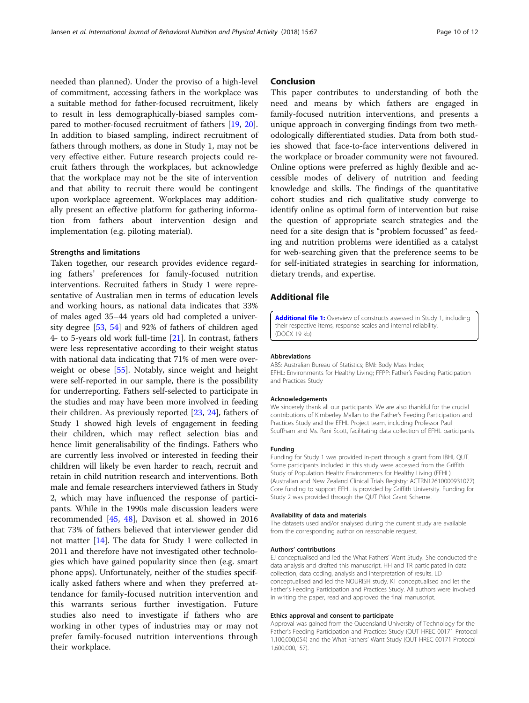<span id="page-9-0"></span>needed than planned). Under the proviso of a high-level of commitment, accessing fathers in the workplace was a suitable method for father-focused recruitment, likely to result in less demographically-biased samples compared to mother-focused recruitment of fathers [[19,](#page-10-0) [20](#page-10-0)]. In addition to biased sampling, indirect recruitment of fathers through mothers, as done in Study 1, may not be very effective either. Future research projects could recruit fathers through the workplaces, but acknowledge that the workplace may not be the site of intervention and that ability to recruit there would be contingent upon workplace agreement. Workplaces may additionally present an effective platform for gathering information from fathers about intervention design and implementation (e.g. piloting material).

## Strengths and limitations

Taken together, our research provides evidence regarding fathers' preferences for family-focused nutrition interventions. Recruited fathers in Study 1 were representative of Australian men in terms of education levels and working hours, as national data indicates that 33% of males aged 35–44 years old had completed a university degree [\[53,](#page-11-0) [54\]](#page-11-0) and 92% of fathers of children aged 4- to 5-years old work full-time [[21\]](#page-10-0). In contrast, fathers were less representative according to their weight status with national data indicating that 71% of men were overweight or obese [\[55](#page-11-0)]. Notably, since weight and height were self-reported in our sample, there is the possibility for underreporting. Fathers self-selected to participate in the studies and may have been more involved in feeding their children. As previously reported [\[23,](#page-10-0) [24](#page-10-0)], fathers of Study 1 showed high levels of engagement in feeding their children, which may reflect selection bias and hence limit generalisability of the findings. Fathers who are currently less involved or interested in feeding their children will likely be even harder to reach, recruit and retain in child nutrition research and interventions. Both male and female researchers interviewed fathers in Study 2, which may have influenced the response of participants. While in the 1990s male discussion leaders were recommended [\[45](#page-11-0), [48\]](#page-11-0), Davison et al. showed in 2016 that 73% of fathers believed that interviewer gender did not matter [\[14](#page-10-0)]. The data for Study 1 were collected in 2011 and therefore have not investigated other technologies which have gained popularity since then (e.g. smart phone apps). Unfortunately, neither of the studies specifically asked fathers where and when they preferred attendance for family-focused nutrition intervention and this warrants serious further investigation. Future studies also need to investigate if fathers who are working in other types of industries may or may not prefer family-focused nutrition interventions through their workplace.

## Conclusion

This paper contributes to understanding of both the need and means by which fathers are engaged in family-focused nutrition interventions, and presents a unique approach in converging findings from two methodologically differentiated studies. Data from both studies showed that face-to-face interventions delivered in the workplace or broader community were not favoured. Online options were preferred as highly flexible and accessible modes of delivery of nutrition and feeding knowledge and skills. The findings of the quantitative cohort studies and rich qualitative study converge to identify online as optimal form of intervention but raise the question of appropriate search strategies and the need for a site design that is "problem focussed" as feeding and nutrition problems were identified as a catalyst for web-searching given that the preference seems to be for self-initiated strategies in searching for information, dietary trends, and expertise.

## Additional file

[Additional file 1:](https://doi.org/10.1186/s12966-018-0702-4) Overview of constructs assessed in Study 1, including their respective items, response scales and internal reliability. (DOCX 19 kb)

#### Abbreviations

ABS: Australian Bureau of Statistics; BMI: Body Mass Index; EFHL: Environments for Healthy Living; FFPP: Father's Feeding Participation and Practices Study

#### Acknowledgements

We sincerely thank all our participants. We are also thankful for the crucial contributions of Kimberley Mallan to the Father's Feeding Participation and Practices Study and the EFHL Project team, including Professor Paul Scuffham and Ms. Rani Scott, facilitating data collection of EFHL participants.

#### Funding

Funding for Study 1 was provided in-part through a grant from IBHI, QUT. Some participants included in this study were accessed from the Griffith Study of Population Health: Environments for Healthy Living (EFHL) (Australian and New Zealand Clinical Trials Registry: ACTRN12610000931077). Core funding to support EFHL is provided by Griffith University. Funding for Study 2 was provided through the QUT Pilot Grant Scheme.

#### Availability of data and materials

The datasets used and/or analysed during the current study are available from the corresponding author on reasonable request.

#### Authors' contributions

EJ conceptualised and led the What Fathers' Want Study. She conducted the data analysis and drafted this manuscript. HH and TR participated in data collection, data coding, analysis and interpretation of results. LD conceptualised and led the NOURISH study. KT conceptualised and let the Father's Feeding Participation and Practices Study. All authors were involved in writing the paper, read and approved the final manuscript.

#### Ethics approval and consent to participate

Approval was gained from the Queensland University of Technology for the Father's Feeding Participation and Practices Study (QUT HREC 00171 Protocol 1,100,000,054) and the What Fathers' Want Study (QUT HREC 00171 Protocol 1,600,000,157).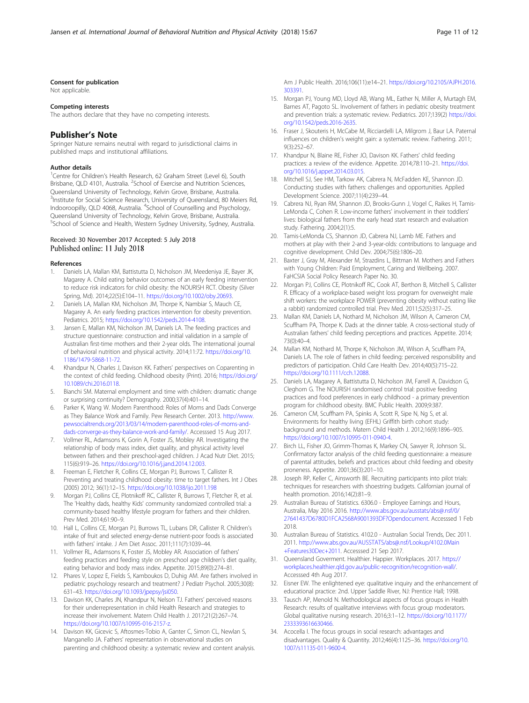### <span id="page-10-0"></span>Consent for publication

Not applicable.

#### Competing interests

The authors declare that they have no competing interests.

## Publisher's Note

Springer Nature remains neutral with regard to jurisdictional claims in published maps and institutional affiliations.

#### Author details

<sup>1</sup>Centre for Children's Health Research, 62 Graham Street (Level 6), South Brisbane, QLD 4101, Australia. <sup>2</sup>School of Exercise and Nutrition Sciences, Queensland University of Technology, Kelvin Grove, Brisbane, Australia. <sup>3</sup>Institute for Social Science Research, University of Queensland, 80 Meiers Rd, Indooroopilly, QLD 4068, Australia. <sup>4</sup>School of Counselling and Psychology, Queensland University of Technology, Kelvin Grove, Brisbane, Australia. 5 School of Science and Health, Western Sydney University, Sydney, Australia.

## Received: 30 November 2017 Accepted: 5 July 2018 Published online: 11 July 2018

#### References

- 1. Daniels LA, Mallan KM, Battistutta D, Nicholson JM, Meedeniya JE, Bayer JK, Magarey A. Child eating behavior outcomes of an early feeding intervention to reduce risk indicators for child obesity: the NOURISH RCT. Obesity (Silver Spring, Md). 2014;22(5):E104–11. <https://doi.org/10.1002/oby.20693>.
- 2. Daniels LA, Mallan KM, Nicholson JM, Thorpe K, Nambiar S, Mauch CE, Magarey A. An early feeding practices intervention for obesity prevention. Pediatrics. 2015; <https://doi.org/10.1542/peds.2014-4108>.
- Jansen E, Mallan KM, Nicholson JM, Daniels LA. The feeding practices and structure questionnaire: construction and initial validation in a sample of Australian first-time mothers and their 2-year olds. The international journal of behavioral nutrition and physical activity. 2014;11:72. [https://doi.org/10.](https://doi.org/10.1186/1479-5868-11-72) [1186/1479-5868-11-72.](https://doi.org/10.1186/1479-5868-11-72)
- 4. Khandpur N, Charles J, Davison KK. Fathers' perspectives on Coparenting in the context of child feeding. Childhood obesity (Print). 2016; [https://doi.org/](https://doi.org/10.1089/chi.2016.0118) [10.1089/chi.2016.0118.](https://doi.org/10.1089/chi.2016.0118)
- 5. Bianchi SM. Maternal employment and time with children: dramatic change or surprising continuity? Demography. 2000;37(4):401–14.
- Parker K, Wang W. Modern Parenthood: Roles of Moms and Dads Converge as They Balance Work and Family. Pew Research Center. 2013. [http://www.](http://www.pewsocialtrends.org/2013/03/14/modern-parenthood-roles-of-moms-and-dads-converge-as-they-balance-work-and-family/) [pewsocialtrends.org/2013/03/14/modern-parenthood-roles-of-moms-and](http://www.pewsocialtrends.org/2013/03/14/modern-parenthood-roles-of-moms-and-dads-converge-as-they-balance-work-and-family/)[dads-converge-as-they-balance-work-and-family/.](http://www.pewsocialtrends.org/2013/03/14/modern-parenthood-roles-of-moms-and-dads-converge-as-they-balance-work-and-family/) Accesssed 15 Aug 2017.
- 7. Vollmer RL, Adamsons K, Gorin A, Foster JS, Mobley AR. Investigating the relationship of body mass index, diet quality, and physical activity level between fathers and their preschool-aged children. J Acad Nutr Diet. 2015; 115(6):919–26. [https://doi.org/10.1016/j.jand.2014.12.003.](https://doi.org/10.1016/j.jand.2014.12.003)
- 8. Freeman E, Fletcher R, Collins CE, Morgan PJ, Burrows T, Callister R. Preventing and treating childhood obesity: time to target fathers. Int J Obes (2005) 2012; 36(1):12–15. <https://doi.org/10.1038/ijo.2011.198>
- Morgan PJ, Collins CE, Plotnikoff RC, Callister R, Burrows T, Fletcher R, et al. The 'Healthy dads, healthy Kids' community randomized controlled trial: a community-based healthy lifestyle program for fathers and their children. Prev Med. 2014;61:90–9.
- 10. Hall L, Collins CE, Morgan PJ, Burrows TL, Lubans DR, Callister R. Children's intake of fruit and selected energy-dense nutrient-poor foods is associated with fathers' intake. J Am Diet Assoc. 2011;111(7):1039–44.
- 11. Vollmer RL, Adamsons K, Foster JS, Mobley AR. Association of fathers' feeding practices and feeding style on preschool age children's diet quality, eating behavior and body mass index. Appetite. 2015;89(0):274–81.
- 12. Phares V, Lopez E, Fields S, Kamboukos D, Duhig AM. Are fathers involved in pediatric psychology research and treatment? J Pediatr Psychol. 2005;30(8): 631–43. <https://doi.org/10.1093/jpepsy/jsi050>.
- 13. Davison KK, Charles JN, Khandpur N, Nelson TJ. Fathers' perceived reasons for their underrepresentation in child Health Research and strategies to increase their involvement. Matern Child Health J. 2017;21(2):267–74. [https://doi.org/10.1007/s10995-016-2157-z.](https://doi.org/10.1007/s10995-016-2157-z)
- 14. Davison KK, Gicevic S, Aftosmes-Tobio A, Ganter C, Simon CL, Newlan S, Manganello JA. Fathers' representation in observational studies on parenting and childhood obesity: a systematic review and content analysis.

Am J Public Health. 2016;106(11):e14–21. [https://doi.org/10.2105/AJPH.2016.](https://doi.org/10.2105/AJPH.2016.303391) [303391](https://doi.org/10.2105/AJPH.2016.303391).

- 15. Morgan PJ, Young MD, Lloyd AB, Wang ML, Eather N, Miller A, Murtagh EM, Barnes AT, Pagoto SL. Involvement of fathers in pediatric obesity treatment and prevention trials: a systematic review. Pediatrics. 2017;139(2) [https://doi.](https://doi.org/10.1542/peds.2016-2635) [org/10.1542/peds.2016-2635](https://doi.org/10.1542/peds.2016-2635).
- 16. Fraser J, Skouteris H, McCabe M, Ricciardelli LA, Milgrom J, Baur LA. Paternal influences on children's weight gain: a systematic review. Fathering. 2011; 9(3):252–67.
- 17. Khandpur N, Blaine RE, Fisher JO, Davison KK. Fathers' child feeding practices: a review of the evidence. Appetite. 2014;78:110–21. [https://doi.](https://doi.org/10.1016/j.appet.2014.03.015) [org/10.1016/j.appet.2014.03.015](https://doi.org/10.1016/j.appet.2014.03.015).
- 18. Mitchell SJ, See HM, Tarkow AK, Cabrera N, McFadden KE, Shannon JD. Conducting studies with fathers: challenges and opportunities. Applied Development Science. 2007;11(4):239–44.
- 19. Cabrera NJ, Ryan RM, Shannon JD, Brooks-Gunn J, Vogel C, Raikes H, Tamis-LeMonda C, Cohen R. Low-income fathers' involvement in their toddlers' lives: biological fathers from the early head start research and evaluation study. Fathering. 2004;2(1):5.
- 20. Tamis-LeMonda CS, Shannon JD, Cabrera NJ, Lamb ME. Fathers and mothers at play with their 2-and 3-year-olds: contributions to language and cognitive development. Child Dev. 2004;75(6):1806–20.
- 21. Baxter J, Gray M, Alexander M, Strazdins L, Bittman M. Mothers and Fathers with Young Children: Paid Employment, Caring and Wellbeing. 2007. FaHCSIA Social Policy Research Paper No. 30.
- 22. Morgan PJ, Collins CE, Plotnikoff RC, Cook AT, Berthon B, Mitchell S, Callister R. Efficacy of a workplace-based weight loss program for overweight male shift workers: the workplace POWER (preventing obesity without eating like a rabbit) randomized controlled trial. Prev Med. 2011;52(5):317–25.
- 23. Mallan KM, Daniels LA, Nothard M, Nicholson JM, Wilson A, Cameron CM, Scuffham PA, Thorpe K. Dads at the dinner table. A cross-sectional study of Australian fathers' child feeding perceptions and practices. Appetite. 2014; 73(0):40–4.
- 24. Mallan KM, Nothard M, Thorpe K, Nicholson JM, Wilson A, Scuffham PA, Daniels LA. The role of fathers in child feeding: perceived responsibility and predictors of participation. Child Care Health Dev. 2014;40(5):715–22. <https://doi.org/10.1111/cch.12088>.
- 25. Daniels LA, Magarey A, Battistutta D, Nicholson JM, Farrell A, Davidson G, Cleghorn G. The NOURISH randomised control trial: positive feeding practices and food preferences in early childhood - a primary prevention program for childhood obesity. BMC Public Health. 2009;9:387.
- 26. Cameron CM, Scuffham PA, Spinks A, Scott R, Sipe N, Ng S, et al. Environments for healthy living (EFHL) Griffith birth cohort study: background and methods. Matern Child Health J. 2012;16(9):1896–905. <https://doi.org/10.1007/s10995-011-0940-4>.
- 27. Birch LL, Fisher JO, Grimm-Thomas K, Markey CN, Sawyer R, Johnson SL. Confirmatory factor analysis of the child feeding questionnaire: a measure of parental attitudes, beliefs and practices about child feeding and obesity proneness. Appetite. 2001;36(3):201–10.
- 28. Joseph RP, Keller C, Ainsworth BE. Recruiting participants into pilot trials: techniques for researchers with shoestring budgets. Californian journal of health promotion. 2016;14(2):81–9.
- 29. Australian Bureau of Statistics. 6306.0 Employee Earnings and Hours, Australia, May 2016 2016. [http://www.abs.gov.au/ausstats/abs@.nsf/0/](http://www.abs.gov.au/ausstats/abs@.nsf/0/27641437D6780D1FCA2568A9001393DF?Opendocument) [27641437D6780D1FCA2568A9001393DF?Opendocument](http://www.abs.gov.au/ausstats/abs@.nsf/0/27641437D6780D1FCA2568A9001393DF?Opendocument). Accesssed 1 Feb 2018.
- 30. Australian Bureau of Statistics. 4102.0 Australian Social Trends, Dec 2011. 2011. [http://www.abs.gov.au/AUSSTATS/abs@.nsf/Lookup/4102.0Main](http://www.abs.gov.au/AUSSTATS/abs@.nsf/Lookup/4102.0Main+Features30Dec+2011) [+Features30Dec+2011.](http://www.abs.gov.au/AUSSTATS/abs@.nsf/Lookup/4102.0Main+Features30Dec+2011) Accesssed 21 Sep 2017.
- 31. Queensland Goverment. Healthier. Happier. Workplaces. 2017. [https://](https://workplaces.healthier.qld.gov.au/public-recognition/recognition-wall/) [workplaces.healthier.qld.gov.au/public-recognition/recognition-wall/.](https://workplaces.healthier.qld.gov.au/public-recognition/recognition-wall/) Accesssed 4th Aug 2017.
- 32. Eisner EW. The enlightened eye: qualitative inquiry and the enhancement of educational practice: 2nd. Upper Saddle River, NJ: Prentice Hall; 1998.
- 33. Tausch AP, Menold N. Methodological aspects of focus groups in Health Research: results of qualitative interviews with focus group moderators. Global qualitative nursing research. 2016;3:1–12. [https://doi.org/10.1177/](https://doi.org/10.1177/2333393616630466) [2333393616630466](https://doi.org/10.1177/2333393616630466).
- 34. Acocella I. The focus groups in social research: advantages and disadvantages. Quality & Quantity. 2012;46(4):1125–36. [https://doi.org/10.](https://doi.org/10.1007/s11135-011-9600-4) [1007/s11135-011-9600-4](https://doi.org/10.1007/s11135-011-9600-4).